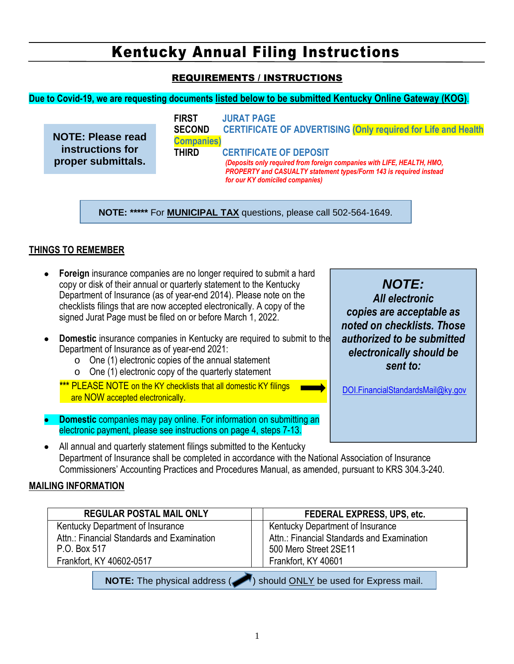#### REQUIREMENTS / INSTRUCTIONS

#### **Due to Covid-19, we are requesting documents listed below to be submitted Kentucky Online Gateway (KOG)**.

|                                        | <b>FIRST</b>                        | <b>JURAT PAGE</b>                                                                                                                                                             |
|----------------------------------------|-------------------------------------|-------------------------------------------------------------------------------------------------------------------------------------------------------------------------------|
| <b>NOTE: Please read</b>               | <b>SECOND</b><br><b>Companies</b> ) | <b>CERTIFICATE OF ADVERTISING (Only required for Life and Health</b>                                                                                                          |
| instructions for<br>proper submittals. | <b>THIRD</b>                        | <b>CERTIFICATE OF DEPOSIT</b><br>(Deposits only required from foreign companies with LIFE, HEALTH, HMO,<br>PROPERTY and CASUALTY statement types/Form 143 is required instead |
|                                        |                                     | for our KY domiciled companies)                                                                                                                                               |

**NOTE: \*\*\*\*\*** For **MUNICIPAL TAX** questions, please call 502-564-1649.

#### **THINGS TO REMEMBER**

- **Foreign** insurance companies are no longer required to submit a hard copy or disk of their annual or quarterly statement to the Kentucky Department of Insurance (as of year-end 2014). Please note on the checklists filings that are now accepted electronically. A copy of the signed Jurat Page must be filed on or before March 1, 2022.
- **Domestic** insurance companies in Kentucky are required to submit to the Department of Insurance as of year-end 2021:
	- o One (1) electronic copies of the annual statement
	- o One (1) electronic copy of the quarterly statement
	- **\*\*\*** PLEASE NOTE on the KY checklists that all domestic KY filings are NOW accepted electronically.
- **Domestic** companies may pay online. For information on submitting an electronic payment, please see instructions on page 4, steps 7-13.
- All annual and quarterly statement filings submitted to the Kentucky Department of Insurance shall be completed in accordance with the National Association of Insurance Commissioners' Accounting Practices and Procedures Manual, as amended, pursuant to KRS 304.3-240.

#### **MAILING INFORMATION**

| <b>REGULAR POSTAL MAIL ONLY</b>                                            | FEDERAL EXPRESS, UPS, etc.                                          |  |  |
|----------------------------------------------------------------------------|---------------------------------------------------------------------|--|--|
| Kentucky Department of Insurance                                           | Kentucky Department of Insurance                                    |  |  |
| Attn.: Financial Standards and Examination<br>P.O. Box 517                 | Attn.: Financial Standards and Examination<br>500 Mero Street 2SE11 |  |  |
| Frankfort, KY 40602-0517                                                   | Frankfort, KY 40601                                                 |  |  |
| <b>NOTE:</b> The physical address (A) should ONLY be used for Express mail |                                                                     |  |  |

**NOTE:** The physical address (**1994**) should **ONLY** be used for Express mail.

*NOTE: All electronic copies are acceptable as noted on checklists. Those authorized to be submitted electronically should be sent to:*

DOI.FinancialStandardsMail@ky.gov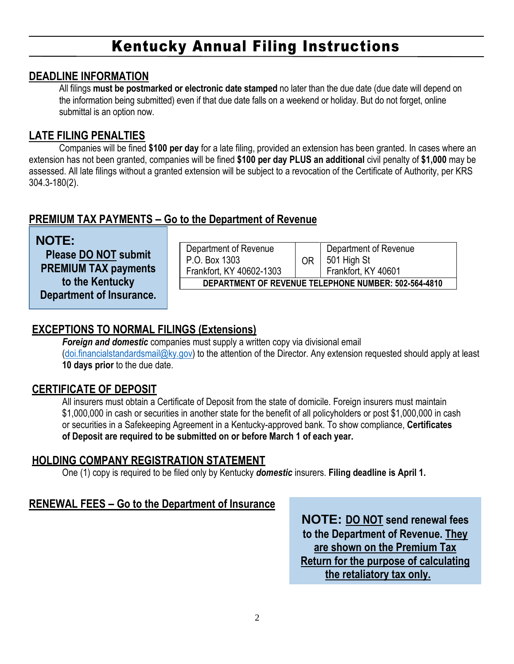#### **DEADLINE INFORMATION**

All filings **must be postmarked or electronic date stamped** no later than the due date (due date will depend on the information being submitted) even if that due date falls on a weekend or holiday. But do not forget, online submittal is an option now.

#### **LATE FILING PENALTIES**

Companies will be fined **\$100 per day** for a late filing, provided an extension has been granted. In cases where an extension has not been granted, companies will be fined **\$100 per day PLUS an additional** civil penalty of **\$1,000** may be assessed. All late filings without a granted extension will be subject to a revocation of the Certificate of Authority, per KRS 304.3-180(2).

### **PREMIUM TAX PAYMENTS – Go to the Department of Revenue**

| <b>NOTE:</b>                    |  |  |
|---------------------------------|--|--|
| <b>Please DO NOT submit</b>     |  |  |
| <b>PREMIUM TAX payments</b>     |  |  |
| to the Kentucky                 |  |  |
| <b>Department of Insurance.</b> |  |  |

| Department of Revenue<br>P.O. Box 1303               | OR | Department of Revenue<br>501 High St |  |  |
|------------------------------------------------------|----|--------------------------------------|--|--|
| Frankfort, KY 40602-1303                             |    | Frankfort, KY 40601                  |  |  |
| DEPARTMENT OF REVENUE TELEPHONE NUMBER: 502-564-4810 |    |                                      |  |  |

## **EXCEPTIONS TO NORMAL FILINGS (Extensions)**

*Foreign and domestic* companies must supply a written copy via divisional email (doi.financialstandardsmail@ky.gov) to the attention of the Director. Any extension requested should apply at least **10 days prior** to the due date.

### **CERTIFICATE OF DEPOSIT**

All insurers must obtain a Certificate of Deposit from the state of domicile. Foreign insurers must maintain \$1,000,000 in cash or securities in another state for the benefit of all policyholders or post \$1,000,000 in cash or securities in a Safekeeping Agreement in a Kentucky-approved bank. To show compliance, **Certificates of Deposit are required to be submitted on or before March 1 of each year.**

#### **HOLDING COMPANY REGISTRATION STATEMENT**

One (1) copy is required to be filed only by Kentucky *domestic* insurers. **Filing deadline is April 1.**

# **RENEWAL FEES – Go to the Department of Insurance**

**NOTE: DO NOT send renewal fees to the Department of Revenue. They are shown on the Premium Tax Return for the purpose of calculating the retaliatory tax only.**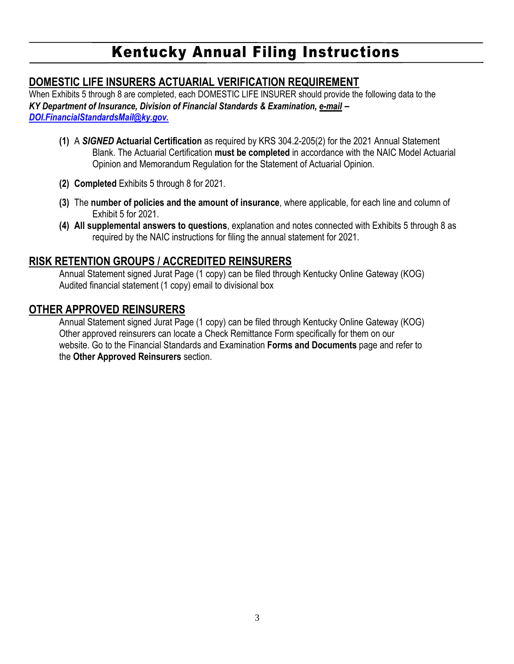# **DOMESTIC LIFE INSURERS ACTUARIAL VERIFICATION REQUIREMENT**

When Exhibits 5 through 8 are completed, each DOMESTIC LIFE INSURER should provide the following data to the *KY Department of Insurance, Division of Financial Standards & Examination, e-mail* **–** *DOI.FinancialStandardsMail@ky.gov.*

- **(1)** A *SIGNED* **Actuarial Certification** as required by KRS 304.2-205(2) for the 2021 Annual Statement Blank. The Actuarial Certification **must be completed** in accordance with the NAIC Model Actuarial Opinion and Memorandum Regulation for the Statement of Actuarial Opinion.
- **(2) Completed** Exhibits 5 through 8 for 2021.
- **(3)** The **number of policies and the amount of insurance**, where applicable, for each line and column of Exhibit 5 for 2021.
- **(4) All supplemental answers to questions**, explanation and notes connected with Exhibits 5 through 8 as required by the NAIC instructions for filing the annual statement for 2021.

## **RISK RETENTION GROUPS / ACCREDITED REINSURERS**

Annual Statement signed Jurat Page (1 copy) can be filed through Kentucky Online Gateway (KOG) Audited financial statement (1 copy) email to divisional box

### **OTHER APPROVED REINSURERS**

Annual Statement signed Jurat Page (1 copy) can be filed through Kentucky Online Gateway (KOG) Other approved reinsurers can locate a Check Remittance Form specifically for them on our website. Go to the Financial Standards and Examination **Forms and Documents** page and refer to the **Other Approved Reinsurers** section.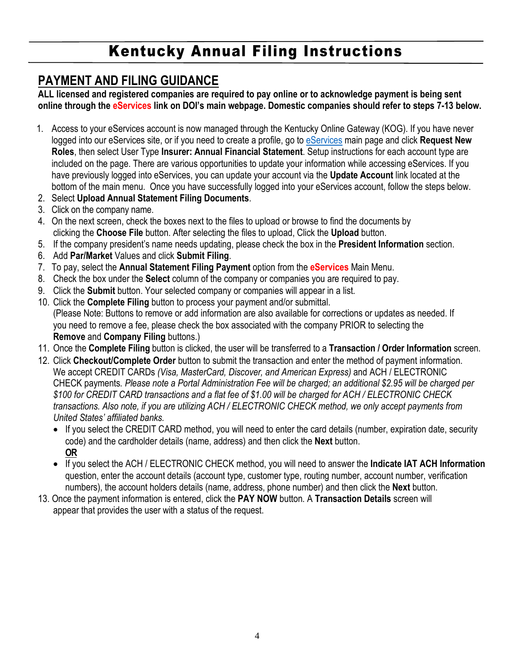# **PAYMENT AND FILING GUIDANCE**

**ALL licensed and registered companies are required to pay online or to acknowledge payment is being sent online through the eServices link on DOI's main webpage. Domestic companies should refer to steps 7-13 below.**

- 1. Access to your eServices account is now managed through the Kentucky Online Gateway (KOG). If you have never logged into our eServices site, or if you need to create a profile, go to eServices main page and click **Request New Roles**, then select User Type **Insurer: Annual Financial Statement**. Setup instructions for each account type are included on the page. There are various opportunities to update your information while accessing eServices. If you have previously logged into eServices, you can update your account via the **Update Account** link located at the bottom of the main menu. Once you have successfully logged into your eServices account, follow the steps below.
- 2. Select **Upload Annual Statement Filing Documents**.
- 3. Click on the company name.
- 4. On the next screen, check the boxes next to the files to upload or browse to find the documents by clicking the **Choose File** button. After selecting the files to upload, Click the **Upload** button.
- 5. If the company president's name needs updating, please check the box in the **President Information** section.
- 6. Add **Par/Market** Values and click **Submit Filing**.
- 7. To pay, select the **Annual Statement Filing Payment** option from the **eServices** Main Menu.
- 8. Check the box under the **Select** column of the company or companies you are required to pay.
- 9. Click the **Submit** button. Your selected company or companies will appear in a list.
- 10. Click the **Complete Filing** button to process your payment and/or submittal. (Please Note: Buttons to remove or add information are also available for corrections or updates as needed. If you need to remove a fee, please check the box associated with the company PRIOR to selecting the **Remove** and **Company Filing** buttons.)
- 11. Once the **Complete Filing** button is clicked, the user will be transferred to a **Transaction / Order Information** screen.
- 12. Click **Checkout/Complete Order** button to submit the transaction and enter the method of payment information. We accept CREDIT CARDs *(Visa, MasterCard, Discover, and American Express)* and ACH / ELECTRONIC CHECK payments*. Please note a Portal Administration Fee will be charged; an additional \$2.95 will be charged per \$100 for CREDIT CARD transactions and a flat fee of \$1.00 will be charged for ACH / ELECTRONIC CHECK transactions. Also note, if you are utilizing ACH / ELECTRONIC CHECK method, we only accept payments from United States' affiliated banks.*
	- If you select the CREDIT CARD method, you will need to enter the card details (number, expiration date, security code) and the cardholder details (name, address) and then click the **Next** button. **OR**
	- If you select the ACH / ELECTRONIC CHECK method, you will need to answer the **Indicate IAT ACH Information** question, enter the account details (account type, customer type, routing number, account number, verification numbers), the account holders details (name, address, phone number) and then click the **Next** button.
- 13. Once the payment information is entered, click the **PAY NOW** button. A **Transaction Details** screen will appear that provides the user with a status of the request.